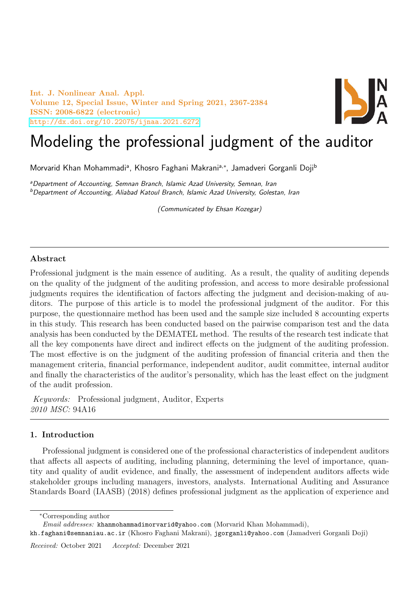Int. J. Nonlinear Anal. Appl. Volume 12, Special Issue, Winter and Spring 2021, 2367-2384 ISSN: 2008-6822 (electronic) <http://dx.doi.org/10.22075/ijnaa.2021.6272>



# Modeling the professional judgment of the auditor

Morvarid Khan Mohammadiª, Khosro Faghani Makraniª<sub>'</sub>\*, Jamadveri Gorganli Doji<sup>b</sup>

<sup>a</sup>Department of Accounting, Semnan Branch, Islamic Azad University, Semnan, Iran <sup>b</sup>Department of Accounting, Aliabad Katoul Branch, Islamic Azad University, Golestan, Iran

(Communicated by Ehsan Kozegar)

# Abstract

Professional judgment is the main essence of auditing. As a result, the quality of auditing depends on the quality of the judgment of the auditing profession, and access to more desirable professional judgments requires the identification of factors affecting the judgment and decision-making of auditors. The purpose of this article is to model the professional judgment of the auditor. For this purpose, the questionnaire method has been used and the sample size included 8 accounting experts in this study. This research has been conducted based on the pairwise comparison test and the data analysis has been conducted by the DEMATEL method. The results of the research test indicate that all the key components have direct and indirect effects on the judgment of the auditing profession. The most effective is on the judgment of the auditing profession of financial criteria and then the management criteria, financial performance, independent auditor, audit committee, internal auditor and finally the characteristics of the auditor's personality, which has the least effect on the judgment of the audit profession.

Keywords: Professional judgment, Auditor, Experts 2010 MSC: 94A16

# 1. Introduction

Professional judgment is considered one of the professional characteristics of independent auditors that affects all aspects of auditing, including planning, determining the level of importance, quantity and quality of audit evidence, and finally, the assessment of independent auditors affects wide stakeholder groups including managers, investors, analysts. International Auditing and Assurance Standards Board (IAASB) (2018) defines professional judgment as the application of experience and

<sup>∗</sup>Corresponding author

Email addresses: khanmohammadimorvarid@yahoo.com (Morvarid Khan Mohammadi),

kh.faghani@semnaniau.ac.ir (Khosro Faghani Makrani), jgorganli@yahoo.com (Jamadveri Gorganli Doji)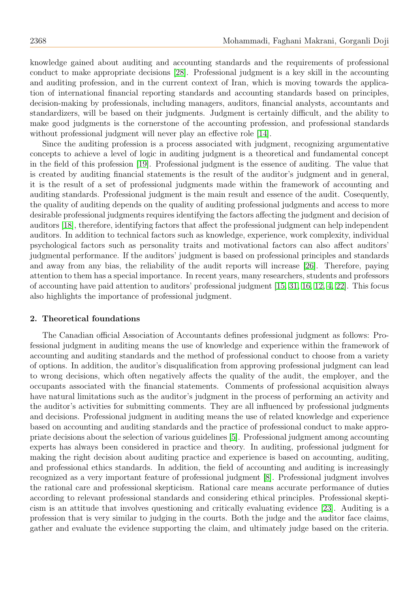knowledge gained about auditing and accounting standards and the requirements of professional conduct to make appropriate decisions [\[28\]](#page-17-0). Professional judgment is a key skill in the accounting and auditing profession, and in the current context of Iran, which is moving towards the application of international financial reporting standards and accounting standards based on principles, decision-making by professionals, including managers, auditors, financial analysts, accountants and standardizers, will be based on their judgments. Judgment is certainly difficult, and the ability to make good judgments is the cornerstone of the accounting profession, and professional standards without professional judgment will never play an effective role [\[14\]](#page-16-0).

Since the auditing profession is a process associated with judgment, recognizing argumentative concepts to achieve a level of logic in auditing judgment is a theoretical and fundamental concept in the field of this profession [\[19\]](#page-16-1). Professional judgment is the essence of auditing. The value that is created by auditing financial statements is the result of the auditor's judgment and in general, it is the result of a set of professional judgments made within the framework of accounting and auditing standards. Professional judgment is the main result and essence of the audit. Cosequently, the quality of auditing depends on the quality of auditing professional judgments and access to more desirable professional judgments requires identifying the factors affecting the judgment and decision of auditors [\[18\]](#page-16-2), therefore, identifying factors that affect the professional judgment can help independent auditors. In addition to technical factors such as knowledge, experience, work complexity, individual psychological factors such as personality traits and motivational factors can also affect auditors' judgmental performance. If the auditors' judgment is based on professional principles and standards and away from any bias, the reliability of the audit reports will increase [\[26\]](#page-16-3). Therefore, paying attention to them has a special importance. In recent years, many researchers, students and professors of accounting have paid attention to auditors' professional judgment [\[15,](#page-16-4) [31,](#page-17-1) [16,](#page-16-5) [12,](#page-16-6) [4,](#page-16-7) [22\]](#page-16-8). This focus also highlights the importance of professional judgment.

# 2. Theoretical foundations

The Canadian official Association of Accountants defines professional judgment as follows: Professional judgment in auditing means the use of knowledge and experience within the framework of accounting and auditing standards and the method of professional conduct to choose from a variety of options. In addition, the auditor's disqualification from approving professional judgment can lead to wrong decisions, which often negatively affects the quality of the audit, the employer, and the occupants associated with the financial statements. Comments of professional acquisition always have natural limitations such as the auditor's judgment in the process of performing an activity and the auditor's activities for submitting comments. They are all influenced by professional judgments and decisions. Professional judgment in auditing means the use of related knowledge and experience based on accounting and auditing standards and the practice of professional conduct to make appropriate decisions about the selection of various guidelines [\[5\]](#page-16-9). Professional judgment among accounting experts has always been considered in practice and theory. In auditing, professional judgment for making the right decision about auditing practice and experience is based on accounting, auditing, and professional ethics standards. In addition, the field of accounting and auditing is increasingly recognized as a very important feature of professional judgment [\[8\]](#page-16-10). Professional judgment involves the rational care and professional skepticism. Rational care means accurate performance of duties according to relevant professional standards and considering ethical principles. Professional skepticism is an attitude that involves questioning and critically evaluating evidence [\[23\]](#page-16-11). Auditing is a profession that is very similar to judging in the courts. Both the judge and the auditor face claims, gather and evaluate the evidence supporting the claim, and ultimately judge based on the criteria.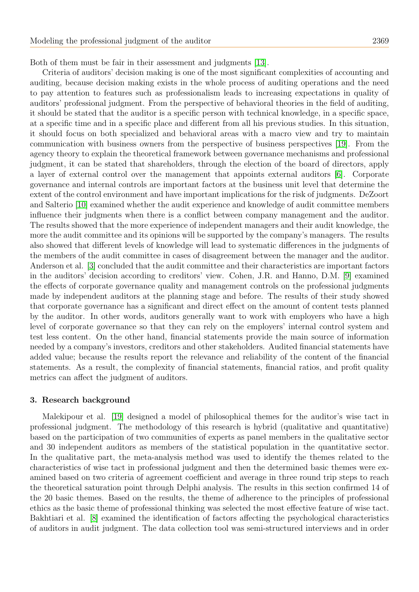Both of them must be fair in their assessment and judgments [\[13\]](#page-16-12).

Criteria of auditors' decision making is one of the most significant complexities of accounting and auditing, because decision making exists in the whole process of auditing operations and the need to pay attention to features such as professionalism leads to increasing expectations in quality of auditors' professional judgment. From the perspective of behavioral theories in the field of auditing, it should be stated that the auditor is a specific person with technical knowledge, in a specific space, at a specific time and in a specific place and different from all his previous studies. In this situation, it should focus on both specialized and behavioral areas with a macro view and try to maintain communication with business owners from the perspective of business perspectives [\[19\]](#page-16-1). From the agency theory to explain the theoretical framework between governance mechanisms and professional judgment, it can be stated that shareholders, through the election of the board of directors, apply a layer of external control over the management that appoints external auditors [\[6\]](#page-16-13). Corporate governance and internal controls are important factors at the business unit level that determine the extent of the control environment and have important implications for the risk of judgments. DeZoort and Salterio [\[10\]](#page-16-14) examined whether the audit experience and knowledge of audit committee members influence their judgments when there is a conflict between company management and the auditor. The results showed that the more experience of independent managers and their audit knowledge, the more the audit committee and its opinions will be supported by the company's managers. The results also showed that different levels of knowledge will lead to systematic differences in the judgments of the members of the audit committee in cases of disagreement between the manager and the auditor. Anderson et al. [\[3\]](#page-16-15) concluded that the audit committee and their characteristics are important factors in the auditors' decision according to creditors' view. Cohen, J.R. and Hanno, D.M. [\[9\]](#page-16-16) examined the effects of corporate governance quality and management controls on the professional judgments made by independent auditors at the planning stage and before. The results of their study showed that corporate governance has a significant and direct effect on the amount of content tests planned by the auditor. In other words, auditors generally want to work with employers who have a high level of corporate governance so that they can rely on the employers' internal control system and test less content. On the other hand, financial statements provide the main source of information needed by a company's investors, creditors and other stakeholders. Audited financial statements have added value; because the results report the relevance and reliability of the content of the financial statements. As a result, the complexity of financial statements, financial ratios, and profit quality metrics can affect the judgment of auditors.

### 3. Research background

Malekipour et al. [\[19\]](#page-16-1) designed a model of philosophical themes for the auditor's wise tact in professional judgment. The methodology of this research is hybrid (qualitative and quantitative) based on the participation of two communities of experts as panel members in the qualitative sector and 30 independent auditors as members of the statistical population in the quantitative sector. In the qualitative part, the meta-analysis method was used to identify the themes related to the characteristics of wise tact in professional judgment and then the determined basic themes were examined based on two criteria of agreement coefficient and average in three round trip steps to reach the theoretical saturation point through Delphi analysis. The results in this section confirmed 14 of the 20 basic themes. Based on the results, the theme of adherence to the principles of professional ethics as the basic theme of professional thinking was selected the most effective feature of wise tact. Bakhtiari et al. [\[8\]](#page-16-10) examined the identification of factors affecting the psychological characteristics of auditors in audit judgment. The data collection tool was semi-structured interviews and in order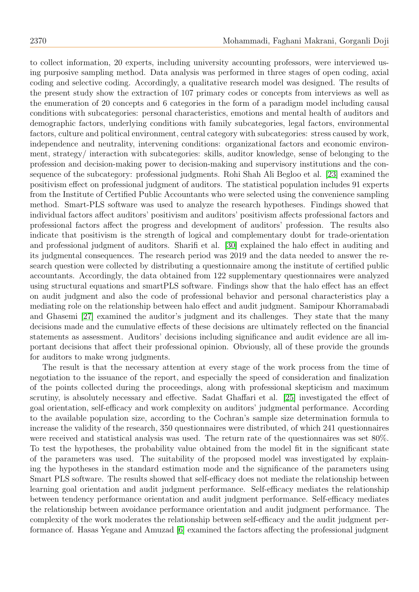to collect information, 20 experts, including university accounting professors, were interviewed using purposive sampling method. Data analysis was performed in three stages of open coding, axial coding and selective coding. Accordingly, a qualitative research model was designed. The results of the present study show the extraction of 107 primary codes or concepts from interviews as well as the enumeration of 20 concepts and 6 categories in the form of a paradigm model including causal conditions with subcategories: personal characteristics, emotions and mental health of auditors and demographic factors, underlying conditions with family subcategories, legal factors, environmental factors, culture and political environment, central category with subcategories: stress caused by work, independence and neutrality, intervening conditions: organizational factors and economic environment, strategy/ interaction with subcategories: skills, auditor knowledge, sense of belonging to the profession and decision-making power to decision-making and supervisory institutions and the consequence of the subcategory: professional judgments. Rohi Shah Ali Begloo et al. [\[23\]](#page-16-11) examined the positivism effect on professional judgment of auditors. The statistical population includes 91 experts from the Institute of Certified Public Accountants who were selected using the convenience sampling method. Smart-PLS software was used to analyze the research hypotheses. Findings showed that individual factors affect auditors' positivism and auditors' positivism affects professional factors and professional factors affect the progress and development of auditors' profession. The results also indicate that positivism is the strength of logical and complementary doubt for trade-orientation and professional judgment of auditors. Sharifi et al. [\[30\]](#page-17-2) explained the halo effect in auditing and its judgmental consequences. The research period was 2019 and the data needed to answer the research question were collected by distributing a questionnaire among the institute of certified public accountants. Accordingly, the data obtained from 122 supplementary questionnaires were analyzed using structural equations and smartPLS software. Findings show that the halo effect has an effect on audit judgment and also the code of professional behavior and personal characteristics play a mediating role on the relationship between halo effect and audit judgment. Samipour Khorramabadi and Ghasemi [\[27\]](#page-17-3) examined the auditor's judgment and its challenges. They state that the many decisions made and the cumulative effects of these decisions are ultimately reflected on the financial statements as assessment. Auditors' decisions including significance and audit evidence are all important decisions that affect their professional opinion. Obviously, all of these provide the grounds for auditors to make wrong judgments.

The result is that the necessary attention at every stage of the work process from the time of negotiation to the issuance of the report, and especially the speed of consideration and finalization of the points collected during the proceedings, along with professional skepticism and maximum scrutiny, is absolutely necessary and effective. Sadat Ghaffari et al. [\[25\]](#page-16-17) investigated the effect of goal orientation, self-efficacy and work complexity on auditors' judgmental performance. According to the available population size, according to the Cochran's sample size determination formula to increase the validity of the research, 350 questionnaires were distributed, of which 241 questionnaires were received and statistical analysis was used. The return rate of the questionnaires was set 80%. To test the hypotheses, the probability value obtained from the model fit in the significant state of the parameters was used. The suitability of the proposed model was investigated by explaining the hypotheses in the standard estimation mode and the significance of the parameters using Smart PLS software. The results showed that self-efficacy does not mediate the relationship between learning goal orientation and audit judgment performance. Self-efficacy mediates the relationship between tendency performance orientation and audit judgment performance. Self-efficacy mediates the relationship between avoidance performance orientation and audit judgment performance. The complexity of the work moderates the relationship between self-efficacy and the audit judgment performance of. Hasas Yegane and Amuzad [\[6\]](#page-16-13) examined the factors affecting the professional judgment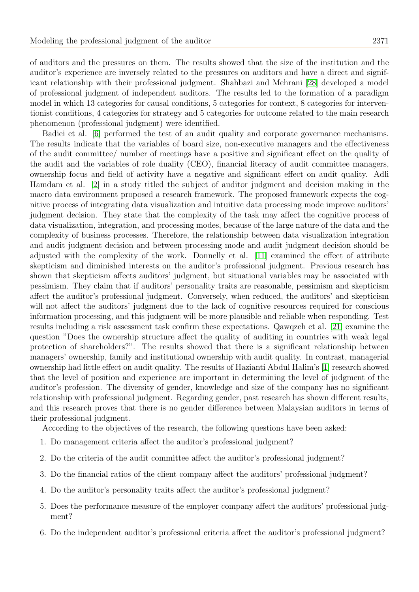of auditors and the pressures on them. The results showed that the size of the institution and the auditor's experience are inversely related to the pressures on auditors and have a direct and significant relationship with their professional judgment. Shahbazi and Mehrani [\[28\]](#page-17-0) developed a model of professional judgment of independent auditors. The results led to the formation of a paradigm model in which 13 categories for causal conditions, 5 categories for context, 8 categories for interventionist conditions, 4 categories for strategy and 5 categories for outcome related to the main research phenomenon (professional judgment) were identified.

Badiei et al. [\[6\]](#page-16-13) performed the test of an audit quality and corporate governance mechanisms. The results indicate that the variables of board size, non-executive managers and the effectiveness of the audit committee/ number of meetings have a positive and significant effect on the quality of the audit and the variables of role duality (CEO), financial literacy of audit committee managers, ownership focus and field of activity have a negative and significant effect on audit quality. Adli Hamdam et al. [\[2\]](#page-16-18) in a study titled the subject of auditor judgment and decision making in the macro data environment proposed a research framework. The proposed framework expects the cognitive process of integrating data visualization and intuitive data processing mode improve auditors' judgment decision. They state that the complexity of the task may affect the cognitive process of data visualization, integration, and processing modes, because of the large nature of the data and the complexity of business processes. Therefore, the relationship between data visualization integration and audit judgment decision and between processing mode and audit judgment decision should be adjusted with the complexity of the work. Donnelly et al. [\[11\]](#page-16-19) examined the effect of attribute skepticism and diminished interests on the auditor's professional judgment. Previous research has shown that skepticism affects auditors' judgment, but situational variables may be associated with pessimism. They claim that if auditors' personality traits are reasonable, pessimism and skepticism affect the auditor's professional judgment. Conversely, when reduced, the auditors' and skepticism will not affect the auditors' judgment due to the lack of cognitive resources required for conscious information processing, and this judgment will be more plausible and reliable when responding. Test results including a risk assessment task confirm these expectations. Qawqzeh et al. [\[21\]](#page-16-20) examine the question "Does the ownership structure affect the quality of auditing in countries with weak legal protection of shareholders?". The results showed that there is a significant relationship between managers' ownership, family and institutional ownership with audit quality. In contrast, managerial ownership had little effect on audit quality. The results of Hazianti Abdul Halim's [\[1\]](#page-16-21) research showed that the level of position and experience are important in determining the level of judgment of the auditor's profession. The diversity of gender, knowledge and size of the company has no significant relationship with professional judgment. Regarding gender, past research has shown different results, and this research proves that there is no gender difference between Malaysian auditors in terms of their professional judgment.

According to the objectives of the research, the following questions have been asked:

- 1. Do management criteria affect the auditor's professional judgment?
- 2. Do the criteria of the audit committee affect the auditor's professional judgment?
- 3. Do the financial ratios of the client company affect the auditors' professional judgment?
- 4. Do the auditor's personality traits affect the auditor's professional judgment?
- 5. Does the performance measure of the employer company affect the auditors' professional judgment?
- 6. Do the independent auditor's professional criteria affect the auditor's professional judgment?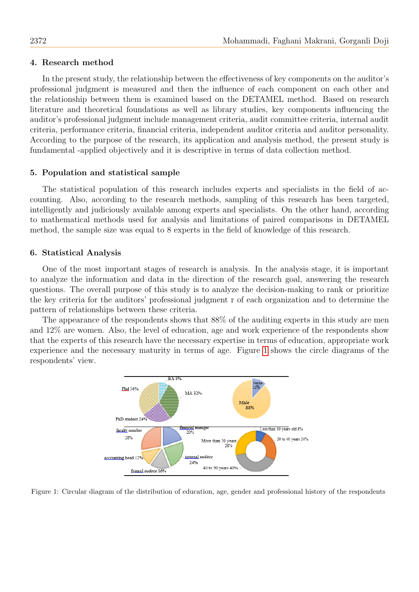## 4. Research method

In the present study, the relationship between the effectiveness of key components on the auditor's professional judgment is measured and then the influence of each component on each other and the relationship between them is examined based on the DETAMEL method. Based on research literature and theoretical foundations as well as library studies, key components influencing the auditor's professional judgment include management criteria, audit committee criteria, internal audit criteria, performance criteria, financial criteria, independent auditor criteria and auditor personality. According to the purpose of the research, its application and analysis method, the present study is fundamental -applied objectively and it is descriptive in terms of data collection method.

### 5. Population and statistical sample

The statistical population of this research includes experts and specialists in the field of accounting. Also, according to the research methods, sampling of this research has been targeted, intelligently and judiciously available among experts and specialists. On the other hand, according to mathematical methods used for analysis and limitations of paired comparisons in DETAMEL method, the sample size was equal to 8 experts in the field of knowledge of this research.

## 6. Statistical Analysis

One of the most important stages of research is analysis. In the analysis stage, it is important to analyze the information and data in the direction of the research goal, answering the research questions. The overall purpose of this study is to analyze the decision-making to rank or prioritize the key criteria for the auditors' professional judgment r of each organization and to determine the pattern of relationships between these criteria.

The appearance of the respondents shows that 88% of the auditing experts in this study are men and 12% are women. Also, the level of education, age and work experience of the respondents show that the experts of this research have the necessary expertise in terms of education, appropriate work experience and the necessary maturity in terms of age. Figure [1](#page-5-0) shows the circle diagrams of the respondents' view.

<span id="page-5-0"></span>

Figure 1: Circular diagram of the distribution of education, age, gender and professional history of the respondents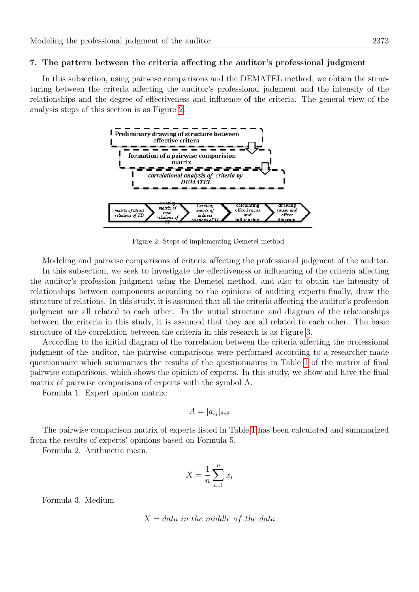## 7. The pattern between the criteria affecting the auditor's professional judgment

In this subsection, using pairwise comparisons and the DEMATEL method, we obtain the structuring between the criteria affecting the auditor's professional judgment and the intensity of the relationships and the degree of effectiveness and influence of the criteria. The general view of the analysis steps of this section is as Figure [2.](#page-6-0)



<span id="page-6-0"></span>Figure 2: Steps of implementing Demetel method

Modeling and pairwise comparisons of criteria affecting the professional judgment of the auditor.

In this subsection, we seek to investigate the effectiveness or influencing of the criteria affecting the auditor's profession judgment using the Demetel method, and also to obtain the intensity of relationships between components according to the opinions of auditing experts finally, draw the structure of relations. In this study, it is assumed that all the criteria affecting the auditor's profession judgment are all related to each other. In the initial structure and diagram of the relationships between the criteria in this study, it is assumed that they are all related to each other. The basic structure of the correlation between the criteria in this research is as Figure [3.](#page-7-0)

According to the initial diagram of the correlation between the criteria affecting the professional judgment of the auditor, the pairwise comparisons were performed according to a researcher-made questionnaire which summarizes the results of the questionnaires in Table [1](#page-8-0) of the matrix of final pairwise comparisons, which shows the opinion of experts. In this study, we show and have the final matrix of pairwise comparisons of experts with the symbol A.

Formula 1. Expert opinion matrix:

$$
A = [a_{ij}]_{8*8}
$$

The pairwise comparison matrix of experts listed in Table [1](#page-8-0) has been calculated and summarized from the results of experts' opinions based on Formula 5.

Formula 2. Arithmetic mean,

$$
\underline{X} = \frac{1}{n} \sum_{i=1}^{n} x_i
$$

Formula 3. Medium

$$
X = data\ in\ the\ middle\ of\ the\ data
$$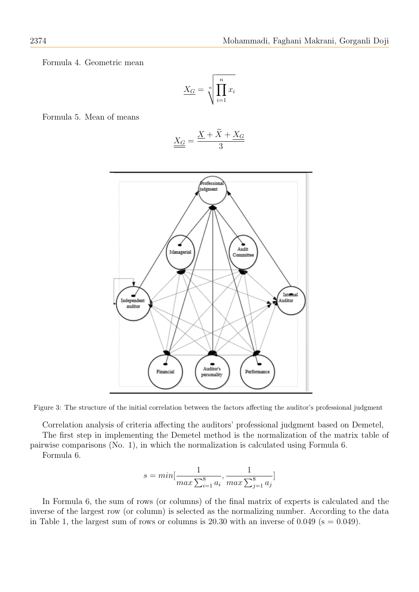Formula 4. Geometric mean

$$
\underline{X_G} = \sqrt[n]{\prod_{i=1}^n x_i}
$$

Formula 5. Mean of means

$$
\underline{\underline{X_G}} = \frac{\underline{X} + \widetilde{X} + \underline{X_G}}{3}
$$



Figure 3: The structure of the initial correlation between the factors affecting the auditor's professional judgment

Correlation analysis of criteria affecting the auditors' professional judgment based on Demetel,

The first step in implementing the Demetel method is the normalization of the matrix table of pairwise comparisons (No. 1), in which the normalization is calculated using Formula 6. Formula 6.

<span id="page-7-0"></span>
$$
s = min[\frac{1}{max\sum_{i=1}^{8} a_i}, \frac{1}{max\sum_{j=1}^{8} a_j}]
$$

In Formula 6, the sum of rows (or columns) of the final matrix of experts is calculated and the inverse of the largest row (or column) is selected as the normalizing number. According to the data in Table 1, the largest sum of rows or columns is 20.30 with an inverse of 0.049 ( $s = 0.049$ ).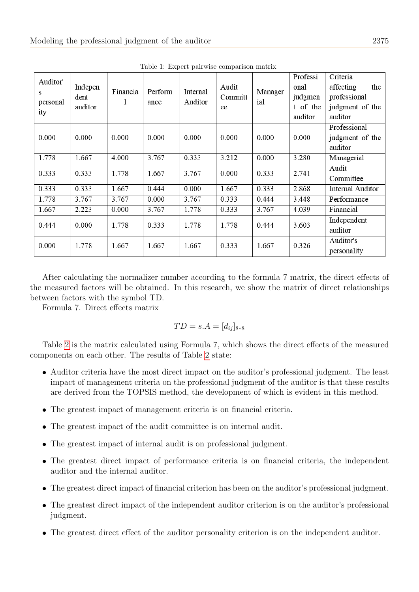<span id="page-8-0"></span>

| Auditor'<br>s<br>personal<br>ity | Indepen<br>dent<br>auditor | Financia | Perform<br>ance | Internal<br>Auditor | Audit<br>Committ<br>ee | Manager<br>ial | Professi<br>onal<br>judgmen<br>t of the<br>auditor | Criteria<br>affecting<br>the<br>professional<br>judgment of the<br>auditor |
|----------------------------------|----------------------------|----------|-----------------|---------------------|------------------------|----------------|----------------------------------------------------|----------------------------------------------------------------------------|
| 0.000                            | 0.000                      | 0.000    | 0.000           | 0.000               | 0.000                  | 0.000          | 0.000                                              | Professional<br>judgment of the<br>auditor                                 |
| 1.778                            | 1.667                      | 4.000    | 3.767           | 0.333               | 3.212                  | 0.000          | 3.280                                              | Managerial                                                                 |
| 0.333                            | 0.333                      | 1.778    | 1.667           | 3.767               | 0.000                  | 0.333          | 2.741                                              | Audit<br>Committee                                                         |
| 0.333                            | 0.333                      | 1.667    | 0.444           | 0.000               | 1.667                  | 0.333          | 2.868                                              | Internal Auditor                                                           |
| 1.778                            | 3.767                      | 3.767    | 0.000           | 3.767               | 0.333                  | 0.444          | 3.448                                              | Performance                                                                |
| 1.667                            | 2.223                      | 0.000    | 3.767           | 1.778               | 0.333                  | 3.767          | 4.039                                              | Financial                                                                  |
| 0.444                            | 0.000                      | 1.778    | 0.333           | 1.778               | 1.778                  | 0.444          | 3.603                                              | Independent<br>auditor                                                     |
| 0.000                            | 1.778                      | 1.667    | 1.667           | 1.667               | 0.333                  | 1.667          | 0.326                                              | Auditor's<br>personality                                                   |

Table 1: Expert pairwise comparison matrix

After calculating the normalizer number according to the formula 7 matrix, the direct effects of the measured factors will be obtained. In this research, we show the matrix of direct relationships between factors with the symbol TD.

Formula 7. Direct effects matrix

$$
TD = s.A = [d_{ij}]_{8*8}
$$

Table [2](#page-9-0) is the matrix calculated using Formula 7, which shows the direct effects of the measured components on each other. The results of Table [2](#page-9-0) state:

- Auditor criteria have the most direct impact on the auditor's professional judgment. The least impact of management criteria on the professional judgment of the auditor is that these results are derived from the TOPSIS method, the development of which is evident in this method.
- The greatest impact of management criteria is on financial criteria.
- The greatest impact of the audit committee is on internal audit.
- The greatest impact of internal audit is on professional judgment.
- The greatest direct impact of performance criteria is on financial criteria, the independent auditor and the internal auditor.
- The greatest direct impact of financial criterion has been on the auditor's professional judgment.
- The greatest direct impact of the independent auditor criterion is on the auditor's professional judgment.
- The greatest direct effect of the auditor personality criterion is on the independent auditor.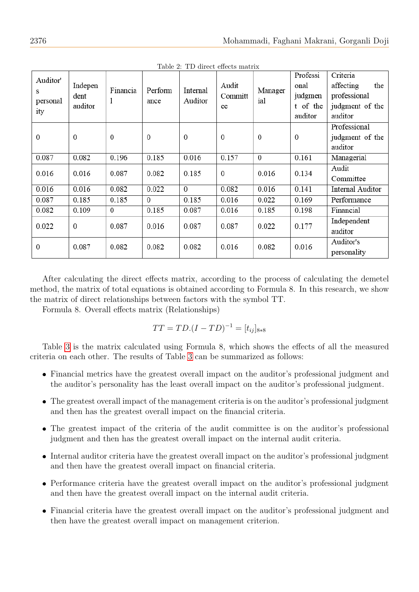<span id="page-9-0"></span>

| Auditor'<br>s<br>personal<br>ity | Indepen<br>dent<br>auditor | Financia<br>1  | Perform<br>ance | Internal<br>Auditor | Audit<br>Committ<br>ee | Manager<br>ial | Professi<br>onal<br>judgmen<br>t of the<br>auditor | Criteria<br>affecting<br>the<br>professional<br>judgment of the<br>auditor |
|----------------------------------|----------------------------|----------------|-----------------|---------------------|------------------------|----------------|----------------------------------------------------|----------------------------------------------------------------------------|
| $\overline{0}$                   | $\mathbf{0}$               | $\overline{0}$ | $\theta$        | $\mathbf 0$         | $\boldsymbol{0}$       | $\mathbf{0}$   | $\mathbf{0}$                                       | Professional<br>judgment of the<br>auditor                                 |
| 0.087                            | 0.082                      | 0.196          | 0.185           | 0.016               | 0.157                  | $\mathbf{0}$   | 0.161                                              | Managerial                                                                 |
| 0.016                            | 0.016                      | 0.087          | 0.082           | 0.185               | $\boldsymbol{0}$       | 0.016          | 0.134                                              | Audit<br>Committee                                                         |
| 0.016                            | 0.016                      | 0.082          | 0.022           | $\overline{0}$      | 0.082                  | 0.016          | 0.141                                              | Internal Auditor                                                           |
| 0.087                            | 0.185                      | 0.185          | $\mathbf{0}$    | 0.185               | 0.016                  | 0.022          | 0.169                                              | Performance                                                                |
| 0.082                            | 0.109                      | $\overline{0}$ | 0.185           | 0.087               | 0.016                  | 0.185          | 0.198                                              | Financial                                                                  |
| 0.022                            | $\Omega$                   | 0.087          | 0.016           | 0.087               | 0.087                  | 0.022          | 0.177                                              | Independent<br>auditor                                                     |
| $\Omega$                         | 0.087                      | 0.082          | 0.082           | 0.082               | 0.016                  | 0.082          | 0.016                                              | Auditor's<br>personality                                                   |

Table 2: TD direct effects matrix

After calculating the direct effects matrix, according to the process of calculating the demetel method, the matrix of total equations is obtained according to Formula 8. In this research, we show the matrix of direct relationships between factors with the symbol TT.

Formula 8. Overall effects matrix (Relationships)

$$
TT = TD.(I - TD)^{-1} = [t_{ij}]_{8*8}
$$

Table [3](#page-10-0) is the matrix calculated using Formula 8, which shows the effects of all the measured criteria on each other. The results of Table [3](#page-10-0) can be summarized as follows:

- Financial metrics have the greatest overall impact on the auditor's professional judgment and the auditor's personality has the least overall impact on the auditor's professional judgment.
- The greatest overall impact of the management criteria is on the auditor's professional judgment and then has the greatest overall impact on the financial criteria.
- The greatest impact of the criteria of the audit committee is on the auditor's professional judgment and then has the greatest overall impact on the internal audit criteria.
- Internal auditor criteria have the greatest overall impact on the auditor's professional judgment and then have the greatest overall impact on financial criteria.
- Performance criteria have the greatest overall impact on the auditor's professional judgment and then have the greatest overall impact on the internal audit criteria.
- Financial criteria have the greatest overall impact on the auditor's professional judgment and then have the greatest overall impact on management criterion.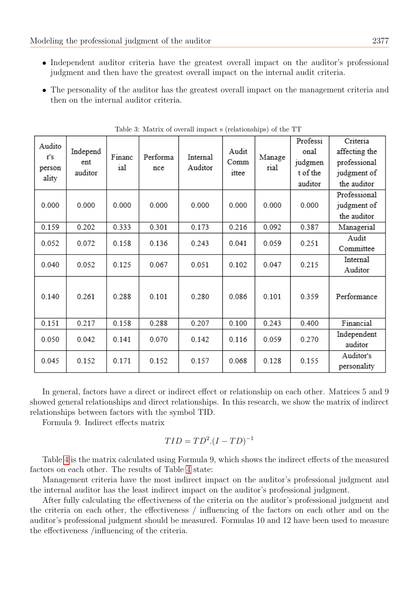- Independent auditor criteria have the greatest overall impact on the auditor's professional judgment and then have the greatest overall impact on the internal audit criteria.
- The personality of the auditor has the greatest overall impact on the management criteria and then on the internal auditor criteria.

<span id="page-10-0"></span>

| Audito<br>r's<br>person<br>ality | Independ<br>ent<br>auditor | Financ<br>ial | Performa<br>nce | Internal<br>Auditor | Audit<br>Comm<br>ittee | Manage<br>rial | Professi<br>onal<br>judgmen<br>t of the<br>auditor | Criteria<br>affecting the<br>professional<br>judgment of<br>the auditor |
|----------------------------------|----------------------------|---------------|-----------------|---------------------|------------------------|----------------|----------------------------------------------------|-------------------------------------------------------------------------|
| 0.000                            | 0.000                      | 0.000         | 0.000           | 0.000               | 0.000                  | 0.000          | 0.000                                              | Professional<br>judgment of<br>the auditor                              |
| 0.159                            | 0.202                      | 0.333         | 0.301           | 0.173               | 0.216                  | 0.092          | 0.387                                              | Managerial                                                              |
| 0.052                            | 0.072                      | 0.158         | 0.136           | 0.243               | 0.041                  | 0.059          | 0.251                                              | Audit<br>Committee                                                      |
| 0.040                            | 0.052                      | 0.125         | 0.067           | 0.051               | 0.102                  | 0.047          | 0.215                                              | Internal<br>Auditor                                                     |
| 0.140                            | 0.261                      | 0.288         | 0.101           | 0.280               | 0.086                  | 0.101          | 0.359                                              | Performance                                                             |
| 0.151                            | 0.217                      | 0.158         | 0.288           | 0.207               | 0.100                  | 0.243          | 0.400                                              | Financial                                                               |
| 0.050                            | 0.042                      | 0.141         | 0.070           | 0.142               | 0.116                  | 0.059          | 0.270                                              | Independent<br>auditor                                                  |
| 0.045                            | 0.152                      | 0.171         | 0.152           | 0.157               | 0.068                  | 0.128          | 0.155                                              | Auditor's<br>personality                                                |

Table 3: Matrix of overall impact s (relationships) of the TT

In general, factors have a direct or indirect effect or relationship on each other. Matrices 5 and 9 showed general relationships and direct relationships. In this research, we show the matrix of indirect relationships between factors with the symbol TID.

Formula 9. Indirect effects matrix

$$
TID = TD^2 \cdot (I - TD)^{-1}
$$

Table [4](#page-11-0) is the matrix calculated using Formula 9, which shows the indirect effects of the measured factors on each other. The results of Table [4](#page-11-0) state:

Management criteria have the most indirect impact on the auditor's professional judgment and the internal auditor has the least indirect impact on the auditor's professional judgment.

After fully calculating the effectiveness of the criteria on the auditor's professional judgment and the criteria on each other, the effectiveness / influencing of the factors on each other and on the auditor's professional judgment should be measured. Formulas 10 and 12 have been used to measure the effectiveness /influencing of the criteria.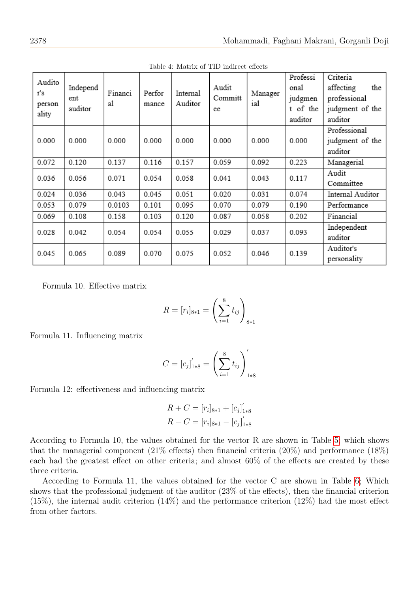<span id="page-11-0"></span>

| Audito<br>r's<br>person<br>ality | Independ<br>ent<br>auditor | Financi<br>al | Perfor<br>mance | Internal<br>Auditor | Audit<br>Committ<br>ee | Manager<br>ial | Professi<br>onal<br>judgmen<br>t of the<br>auditor | Criteria<br>the<br>affecting<br>professional<br>judgment of the<br>auditor |
|----------------------------------|----------------------------|---------------|-----------------|---------------------|------------------------|----------------|----------------------------------------------------|----------------------------------------------------------------------------|
| 0.000                            | 0.000                      | 0.000         | 0.000           | 0.000               | 0.000                  | 0.000          | 0.000                                              | Professional<br>judgment of the<br>auditor                                 |
| 0.072                            | 0.120                      | 0.137         | 0.116           | 0.157               | 0.059                  | 0.092          | 0.223                                              | Managerial                                                                 |
| 0.036                            | 0.056                      | 0.071         | 0.054           | 0.058               | 0.041                  | 0.043          | 0.117                                              | Audit<br>Committee                                                         |
| 0.024                            | 0.036                      | 0.043         | 0.045           | 0.051               | 0.020                  | 0.031          | 0.074                                              | Internal Auditor                                                           |
| 0.053                            | 0.079                      | 0.0103        | 0.101           | 0.095               | 0.070                  | 0.079          | 0.190                                              | Performance                                                                |
| 0.069                            | 0.108                      | 0.158         | 0.103           | 0.120               | 0.087                  | 0.058          | 0.202                                              | Financial                                                                  |
| 0.028                            | 0.042                      | 0.054         | 0.054           | 0.055               | 0.029                  | 0.037          | 0.093                                              | Independent<br>auditor                                                     |
| 0.045                            | 0.065                      | 0.089         | 0.070           | 0.075               | 0.052                  | 0.046          | 0.139                                              | Auditor's<br>personality                                                   |

Table 4: Matrix of TID indirect effects

Formula 10. Effective matrix

$$
R = [r_i]_{8 \ast 1} = \left(\sum_{i=1}^{8} t_{ij}\right)_{8 \ast 1}
$$

Formula 11. Influencing matrix

$$
C = [c_j]_{1*8}' = \left(\sum_{i=1}^8 t_{ij}\right)_{1*8}'
$$

Formula 12: effectiveness and influencing matrix

$$
R + C = [r_i]_{8*1} + [c_j]_{1*8}'
$$
  

$$
R - C = [r_i]_{8*1} - [c_j]_{1*8}'
$$

According to Formula 10, the values obtained for the vector R are shown in Table [5;](#page-12-0) which shows that the managerial component (21% effects) then financial criteria (20%) and performance (18%) each had the greatest effect on other criteria; and almost 60% of the effects are created by these three criteria.

According to Formula 11, the values obtained for the vector C are shown in Table [6;](#page-12-1) Which shows that the professional judgment of the auditor (23% of the effects), then the financial criterion  $(15\%)$ , the internal audit criterion  $(14\%)$  and the performance criterion  $(12\%)$  had the most effect from other factors.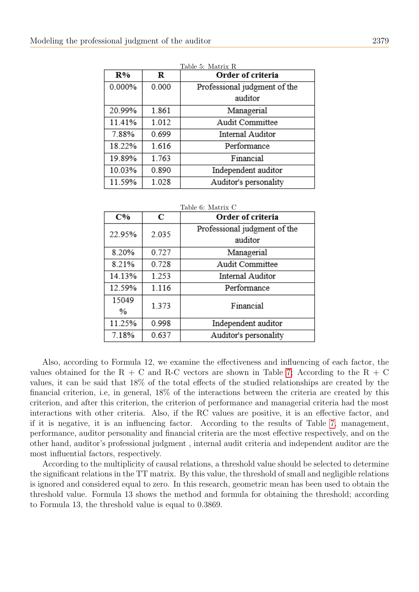<span id="page-12-0"></span>

| R%     | Order of criteria |                              |  |  |  |  |
|--------|-------------------|------------------------------|--|--|--|--|
| 0.000% | 0.000             | Professional judgment of the |  |  |  |  |
|        |                   | auditor                      |  |  |  |  |
| 20.99% | 1.861             | Managerial                   |  |  |  |  |
| 11.41% | 1.012             | Audit Committee              |  |  |  |  |
| 7.88%  | 0.699             | Internal Auditor             |  |  |  |  |
| 18.22% | 1.616             | Performance                  |  |  |  |  |
| 19.89% | 1.763             | Financial                    |  |  |  |  |
| 10.03% | 0.890             | Independent auditor          |  |  |  |  |
| 11.59% | 1.028             | Auditor's personality        |  |  |  |  |

<span id="page-12-1"></span>

| Table 6: Matrix C |       |                                         |  |  |  |  |  |  |
|-------------------|-------|-----------------------------------------|--|--|--|--|--|--|
| C%                | C     | Order of criteria                       |  |  |  |  |  |  |
| 22.95%            | 2.035 | Professional judgment of the<br>auditor |  |  |  |  |  |  |
| 8.20%             | 0.727 | Managerial                              |  |  |  |  |  |  |
| 8.21%             | 0.728 | Audit Committee                         |  |  |  |  |  |  |
| 14.13%            | 1.253 | Internal Auditor                        |  |  |  |  |  |  |
| 12.59%            | 1.116 | Performance                             |  |  |  |  |  |  |
| 15049             | 1.373 | Financial                               |  |  |  |  |  |  |
| %                 |       |                                         |  |  |  |  |  |  |
| 11.25%            | 0.998 | Independent auditor                     |  |  |  |  |  |  |
| 7.18%             | 0.637 | Auditor's personality                   |  |  |  |  |  |  |

Also, according to Formula 12, we examine the effectiveness and influencing of each factor, the values obtained for the R + C and R-C vectors are shown in Table [7;](#page-13-0) According to the R + C values, it can be said that 18% of the total effects of the studied relationships are created by the financial criterion, i.e, in general, 18% of the interactions between the criteria are created by this criterion, and after this criterion, the criterion of performance and managerial criteria had the most interactions with other criteria. Also, if the RC values are positive, it is an effective factor, and if it is negative, it is an influencing factor. According to the results of Table [7,](#page-13-0) management, performance, auditor personality and financial criteria are the most effective respectively, and on the other hand, auditor's professional judgment , internal audit criteria and independent auditor are the most influential factors, respectively.

According to the multiplicity of causal relations, a threshold value should be selected to determine the significant relations in the TT matrix. By this value, the threshold of small and negligible relations is ignored and considered equal to zero. In this research, geometric mean has been used to obtain the threshold value. Formula 13 shows the method and formula for obtaining the threshold; according to Formula 13, the threshold value is equal to 0.3869.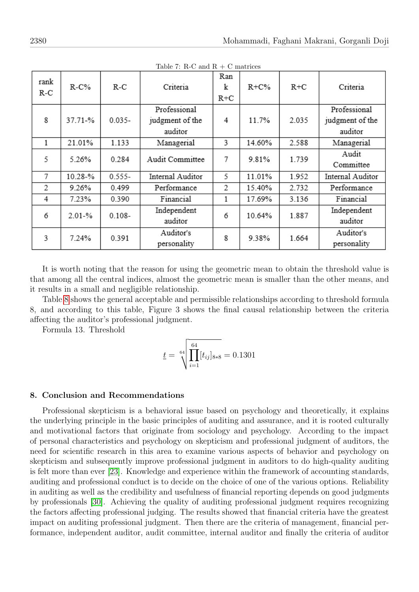<span id="page-13-0"></span>

| rank<br>$R-C$ | $R-C%$     | $R-C$     | Criteria                                   | Ran<br>k<br>R+C | $R + C\%$ | $R + C$ | Criteria                                   |  |  |  |
|---------------|------------|-----------|--------------------------------------------|-----------------|-----------|---------|--------------------------------------------|--|--|--|
| 8             | 37.71-%    | $0.035 -$ | Professional<br>judgment of the<br>auditor | 4               | 11.7%     | 2.035   | Professional<br>judgment of the<br>auditor |  |  |  |
| 1             | 21.01%     | 1.133     | Managerial                                 | 3               | 14.60%    | 2.588   | Managerial                                 |  |  |  |
| 5             | 5.26%      | 0.284     | Audit Committee                            | 7               | 9.81%     | 1.739   | Audit<br>Committee                         |  |  |  |
| 7             | 10.28-%    | $0.555 -$ | Internal Auditor                           | 5               | 11.01%    | 1.952   | Internal Auditor                           |  |  |  |
| 2             | 9.26%      | 0.499     | Performance                                | 2               | 15.40%    | 2.732   | Performance                                |  |  |  |
| 4             | 7.23%      | 0.390     | Financial                                  |                 | 17.69%    | 3.136   | Financial                                  |  |  |  |
| 6             | $2.01 - %$ | $0.108 -$ | Independent<br>auditor                     | 6               | 10.64%    | 1.887   | Independent<br>auditor                     |  |  |  |
| 3             | 7.24%      | 0.391     | Auditor's<br>personality                   | 8               | 9.38%     | 1.664   | Auditor's<br>personality                   |  |  |  |

Table 7: R-C and R + C matrices

It is worth noting that the reason for using the geometric mean to obtain the threshold value is that among all the central indices, almost the geometric mean is smaller than the other means, and it results in a small and negligible relationship.

Table [8](#page-14-0) shows the general acceptable and permissible relationships according to threshold formula 8, and according to this table, Figure 3 shows the final causal relationship between the criteria affecting the auditor's professional judgment.

Formula 13. Threshold

$$
\underline{t} = \sqrt[64]{\prod_{i=1}^{64} [t_{ij}]_{8*8}} = 0.1301
$$

## 8. Conclusion and Recommendations

Professional skepticism is a behavioral issue based on psychology and theoretically, it explains the underlying principle in the basic principles of auditing and assurance, and it is rooted culturally and motivational factors that originate from sociology and psychology. According to the impact of personal characteristics and psychology on skepticism and professional judgment of auditors, the need for scientific research in this area to examine various aspects of behavior and psychology on skepticism and subsequently improve professional judgment in auditors to do high-quality auditing is felt more than ever [\[23\]](#page-16-11). Knowledge and experience within the framework of accounting standards, auditing and professional conduct is to decide on the choice of one of the various options. Reliability in auditing as well as the credibility and usefulness of financial reporting depends on good judgments by professionals [\[30\]](#page-17-2). Achieving the quality of auditing professional judgment requires recognizing the factors affecting professional judging. The results showed that financial criteria have the greatest impact on auditing professional judgment. Then there are the criteria of management, financial performance, independent auditor, audit committee, internal auditor and finally the criteria of auditor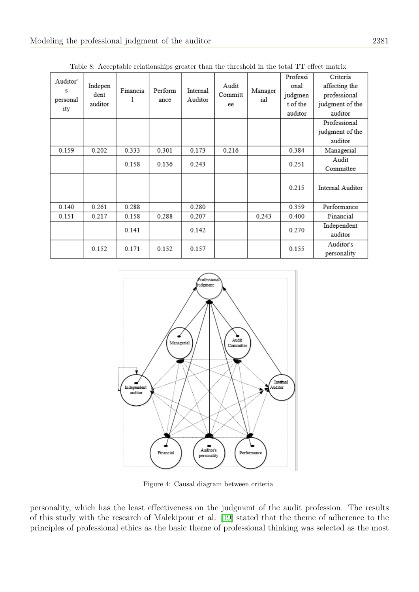<span id="page-14-0"></span>

| Auditor'<br>s<br>personal<br>ity | Indepen<br>dent<br>auditor | Financia | Perform<br>ance | Internal<br>Auditor | Audit<br>Committ<br>ee | Manager<br>ial | Professi<br>onal<br>judgmen<br>t of the<br>auditor | Criteria<br>affecting the<br>professional<br>judgment of the<br>auditor |
|----------------------------------|----------------------------|----------|-----------------|---------------------|------------------------|----------------|----------------------------------------------------|-------------------------------------------------------------------------|
|                                  |                            |          |                 |                     |                        |                |                                                    | Professional<br>judgment of the                                         |
|                                  |                            |          |                 |                     |                        |                |                                                    | auditor                                                                 |
| 0.159                            | 0.202                      | 0.333    | 0.301           | 0.173               | 0.216                  |                | 0.384                                              | Managerial                                                              |
|                                  |                            | 0.158    | 0.136           | 0.243               |                        |                | 0.251                                              | Audit<br>Committee                                                      |
|                                  |                            |          |                 |                     |                        |                | 0.215                                              | Internal Auditor                                                        |
| 0.140                            | 0.261                      | 0.288    |                 | 0.280               |                        |                | 0.359                                              | Performance                                                             |
| 0.151                            | 0.217                      | 0.158    | 0.288           | 0.207               |                        | 0.243          | 0.400                                              | Financial                                                               |
|                                  |                            | 0.141    |                 | 0.142               |                        |                | 0.270                                              | Independent<br>auditor                                                  |
|                                  | 0.152                      | 0.171    | 0.152           | 0.157               |                        |                | 0.155                                              | Auditor's<br>personality                                                |

Table 8: Acceptable relationships greater than the threshold in the total TT effect matrix



Figure 4: Causal diagram between criteria

personality, which has the least effectiveness on the judgment of the audit profession. The results of this study with the research of Malekipour et al. [\[19\]](#page-16-1) stated that the theme of adherence to the principles of professional ethics as the basic theme of professional thinking was selected as the most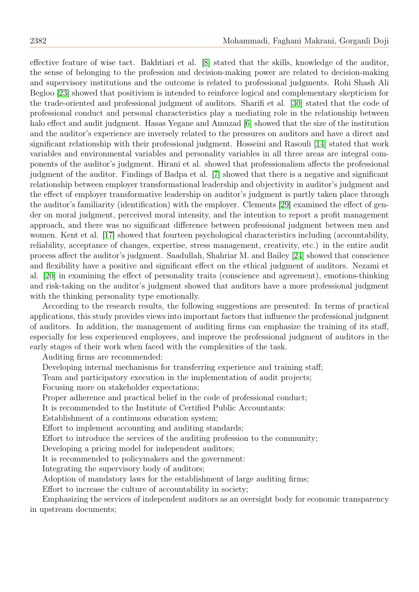effective feature of wise tact. Bakhtiari et al. [\[8\]](#page-16-10) stated that the skills, knowledge of the auditor, the sense of belonging to the profession and decision-making power are related to decision-making and supervisory institutions and the outcome is related to professional judgments. Rohi Shash Ali Begloo [\[23\]](#page-16-11) showed that positivism is intended to reinforce logical and complementary skepticism for the trade-oriented and professional judgment of auditors. Sharifi et al. [\[30\]](#page-17-2) stated that the code of professional conduct and personal characteristics play a mediating role in the relationship between halo effect and audit judgment. Hasas Yegane and Amuzad [\[6\]](#page-16-13) showed that the size of the institution and the auditor's experience are inversely related to the pressures on auditors and have a direct and significant relationship with their professional judgment. Hosseini and Rasouli [\[14\]](#page-16-0) stated that work variables and environmental variables and personality variables in all three areas are integral components of the auditor's judgment. Hirani et al. showed that professionalism affects the professional judgment of the auditor. Findings of Badpa et al. [\[7\]](#page-16-22) showed that there is a negative and significant relationship between employer transformational leadership and objectivity in auditor's judgment and the effect of employer transformative leadership on auditor's judgment is partly taken place through the auditor's familiarity (identification) with the employer. Clements [\[29\]](#page-17-4) examined the effect of gender on moral judgment, perceived moral intensity, and the intention to report a profit management approach, and there was no significant difference between professional judgment between men and women. Kent et al. [\[17\]](#page-16-23) showed that fourteen psychological characteristics including (accountability, reliability, acceptance of changes, expertise, stress management, creativity, etc.) in the entire audit process affect the auditor's judgment. Saadullah, Shahriar M. and Bailey [\[24\]](#page-16-24) showed that conscience and flexibility have a positive and significant effect on the ethical judgment of auditors. Nezami et al. [\[20\]](#page-16-25) in examining the effect of personality traits (conscience and agreement), emotions-thinking and risk-taking on the auditor's judgment showed that auditors have a more professional judgment with the thinking personality type emotionally.

According to the research results, the following suggestions are presented: In terms of practical applications, this study provides views into important factors that influence the professional judgment of auditors. In addition, the management of auditing firms can emphasize the training of its staff, especially for less experienced employees, and improve the professional judgment of auditors in the early stages of their work when faced with the complexities of the task.

Auditing firms are recommended:

Developing internal mechanisms for transferring experience and training staff;

Team and participatory execution in the implementation of audit projects;

Focusing more on stakeholder expectations;

Proper adherence and practical belief in the code of professional conduct;

It is recommended to the Institute of Certified Public Accountants:

Establishment of a continuous education system;

Effort to implement accounting and auditing standards;

Effort to introduce the services of the auditing profession to the community;

Developing a pricing model for independent auditors;

It is recommended to policymakers and the government:

Integrating the supervisory body of auditors;

Adoption of mandatory laws for the establishment of large auditing firms;

Effort to increase the culture of accountability in society;

Emphasizing the services of independent auditors as an oversight body for economic transparency in upstream documents;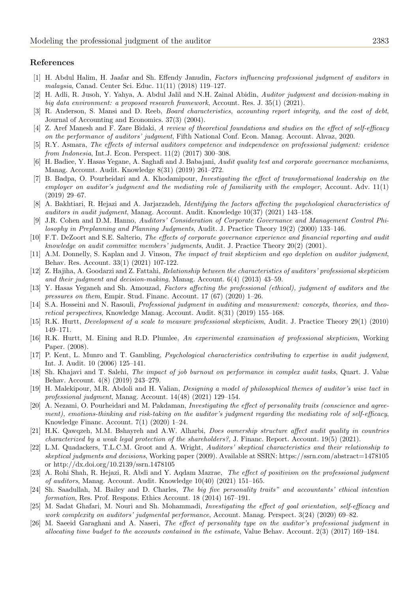#### References

- <span id="page-16-21"></span>[1] H. Abdul Halim, H. Jaafar and Sh. Effendy Janudin, Factors influencing professional judgment of auditors in malaysia, Canad. Center Sci. Educ. 11(11) (2018) 119–127.
- <span id="page-16-18"></span>[2] H. Adli, R. Jusoh, Y. Yahya, A. Abdul Jalil and N.H. Zainal Abidin, Auditor judgment and decision-making in big data environment: a proposed research framework, Account. Res. J. 35(1) (2021).
- <span id="page-16-15"></span>[3] R. Anderson, S. Mansi and D. Reeb, *Board characteristics*, accounting report integrity, and the cost of debt, Journal of Accounting and Economics. 37(3) (2004).
- <span id="page-16-7"></span>[4] Z. Aref Manesh and F. Zare Bidaki, A review of theoretical foundations and studies on the effect of self-efficacy on the performance of auditors' judgment, Fifth National Conf. Econ. Manag. Account. Ahvaz, 2020.
- <span id="page-16-9"></span>[5] R.Y. Asmara, The effects of internal auditors competence and independence on professional judgment: evidence from Indonesia, Int.J. Econ. Perspect. 11(2) (2017) 300–308.
- <span id="page-16-13"></span>[6] H. Badiee, Y. Hasas Yegane, A. Saghafi and J. Babajani, Audit quality test and corporate governance mechanisms, Manag. Account. Audit. Knowledge 8(31) (2019) 261–272.
- <span id="page-16-22"></span>[7] B. Badpa, O. Pourheidari and A. Khodamipour, Investigating the effect of transformational leadership on the employer on auditor's judgment and the mediating role of familiarity with the employer, Account. Adv. 11(1) (2019) 29–67.
- <span id="page-16-10"></span>[8] A. Bakhtiari, R. Hejazi and A. Jarjarzadeh, Identifying the factors affecting the psychological characteristics of auditors in audit judgment, Manag. Account. Audit. Knowledge 10(37) (2021) 143–158.
- <span id="page-16-16"></span>J.R. Cohen and D.M. Hanno, Auditors' Consideration of Corporate Governance and Management Control Philosophy in Preplanning and Planning Judgments, Audit. J. Practice Theory 19(2) (2000) 133–146.
- <span id="page-16-14"></span>[10] F.T. DeZoort and S.E. Salterio, The effects of corporate governance experience and financial reporting and audit knowledge on audit committee members' judgments, Audit. J. Practice Theory 20(2) (2001).
- <span id="page-16-19"></span>[11] A.M. Donnelly, S. Kaplan and J. Vinson, The impact of trait skepticism and ego depletion on auditor judgment, Behav. Res. Account. 33(1) (2021) 107-122.
- <span id="page-16-6"></span>[12] Z. Hajiha, A. Goodarzi and Z. Fattahi, Relationship between the characteristics of auditors' professional skepticism and their judgment and decision-making, Manag. Account. 6(4) (2013) 43–59.
- <span id="page-16-12"></span>[13] Y. Hasas Yeganeh and Sh. Amouzad, Factors affecting the professional (ethical), judgment of auditors and the pressures on them, Empir. Stud. Financ. Account. 17 (67) (2020) 1–26.
- <span id="page-16-0"></span>[14] S.A. Hosseini and N. Rasouli, *Professional judgment in auditing and measurement: concepts, theories, and theo*retical perspectives, Knowledge Manag. Account. Audit. 8(31) (2019) 155–168.
- <span id="page-16-4"></span>[15] R.K. Hurtt, Development of a scale to measure professional skepticism, Audit. J. Practice Theory 29(1) (2010) 149–171.
- <span id="page-16-5"></span>[16] R.K. Hurtt, M. Eining and R.D. Plumlee, An experimental examination of professional skepticism, Working Paper. (2008).
- <span id="page-16-23"></span>[17] P. Kent, L. Munro and T. Gambling, Psychological characteristics contributing to expertise in audit judgment, Int. J. Audit. 10 (2006) 125–141.
- <span id="page-16-2"></span>[18] Sh. Khajavi and T. Salehi, *The impact of job burnout on performance in complex audit tasks*, Quart. J. Value Behav. Account. 4(8) (2019) 243–279.
- <span id="page-16-1"></span>[19] H. Malekipour, M.R. Abdoli and H. Valian, Designing a model of philosophical themes of auditor's wise tact in professional judgment, Manag. Account. 14(48) (2021) 129–154.
- <span id="page-16-25"></span>[20] A. Nezami, O. Pourheidari and M. Pakdaman, Investigating the effect of personality traits (conscience and agreement), emotions-thinking and risk-taking on the auditor's judgment regarding the mediating role of self-efficacy, Knowledge Financ. Account. 7(1) (2020) 1–24.
- <span id="page-16-20"></span>[21] H.K. Qawqzeh, M.M. Bshayreh and A.W. Alharbi, Does ownership structure affect audit quality in countries characterized by a weak legal protection of the shareholders?, J. Financ. Report. Account. 19(5) (2021).
- <span id="page-16-8"></span>[22] L.M. Quadackers, T.L.C.M. Groot and A. Wright, Auditors' skeptical characteristics and their relationship to skeptical judgments and decisions, Working paper (2009). Available at SSRN: https://ssrn.com/abstract=1478105 or http://dx.doi.org/10.2139/ssrn.1478105
- <span id="page-16-11"></span>[23] A. Rohi Shah, R. Hejazi, R. Abdi and Y. Aqdam Mazrae, The effect of positivism on the professional judgment of auditors, Manag. Account. Audit. Knowledge 10(40) (2021) 151–165.
- <span id="page-16-24"></span>[24] Sh. Saadullah, M. Bailey and D. Charles, The big five personality traits" and accountants' ethical intention formation, Res. Prof. Respons. Ethics Account. 18 (2014) 167–191.
- <span id="page-16-17"></span>[25] M. Sadat Ghafari, M. Nouri and Sh. Mohammadi, Investigating the effect of goal orientation, self-efficacy and work complexity on auditors' judgmental performance, Account. Manag. Perspect. 3(24) (2020) 69–82.
- <span id="page-16-3"></span>[26] M. Saeeid Garaghani and A. Naseri, The effect of personality type on the auditor's professional judgment in allocating time budget to the accounts contained in the estimate, Value Behav. Account. 2(3) (2017) 169–184.